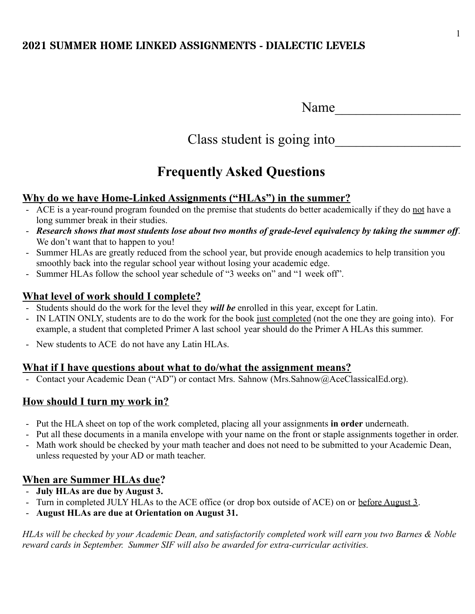| Name |  |
|------|--|
|------|--|

## Class student is going into

## **Frequently Asked Questions**

#### **Why do we have Home-Linked Assignments ("HLAs") in the summer?**

- ACE is a year-round program founded on the premise that students do better academically if they do not have a long summer break in their studies.
- *Research shows that most students lose about two months of grade-level equivalency by taking the summer off*. We don't want that to happen to you!
- Summer HLAs are greatly reduced from the school year, but provide enough academics to help transition you smoothly back into the regular school year without losing your academic edge.
- Summer HLAs follow the school year schedule of "3 weeks on" and "1 week off".

#### **What level of work should I complete?**

- Students should do the work for the level they *will be* enrolled in this year, except for Latin.
- IN LATIN ONLY, students are to do the work for the book just completed (not the one they are going into). For example, a student that completed Primer A last school year should do the Primer A HLAs this summer.
- New students to ACE do not have any Latin HLAs.

#### **What if I have questions about what to do/what the assignment means?**

- Contact your Academic Dean ("AD") or contact Mrs. Sahnow (Mrs. Sahnow @AceClassicalEd.org).

#### **How should I turn my work in?**

- Put the HLA sheet on top of the work completed, placing all your assignments **in order** underneath.
- Put all these documents in a manila envelope with your name on the front or staple assignments together in order.
- Math work should be checked by your math teacher and does not need to be submitted to your Academic Dean, unless requested by your AD or math teacher.

#### **When are Summer HLAs due?**

- **July HLAs are due by August 3.**
- Turn in completed JULY HLAs to the ACE office (or drop box outside of ACE) on or before August 3.
- **August HLAs are due at Orientation on August 31.**

*HLAs will be checked by your Academic Dean, and satisfactorily completed work will earn you two Barnes & Noble reward cards in September. Summer SIF will also be awarded for extra-curricular activities.*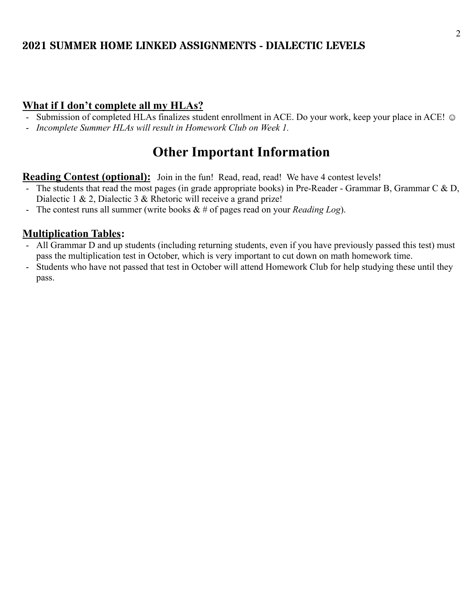#### **What if I don't complete all my HLAs?**

- Submission of completed HLAs finalizes student enrollment in ACE. Do your work, keep your place in ACE!  $\odot$
- *Incomplete Summer HLAs will result in Homework Club on Week 1.*

## **Other Important Information**

#### **Reading Contest (optional):** Join in the fun! Read, read, read! We have 4 contest levels!

- The students that read the most pages (in grade appropriate books) in Pre-Reader Grammar B, Grammar C & D, Dialectic 1 & 2, Dialectic 3 & Rhetoric will receive a grand prize!
- The contest runs all summer (write books & # of pages read on your *Reading Log*).

#### **Multiplication Tables:**

- All Grammar D and up students (including returning students, even if you have previously passed this test) must pass the multiplication test in October, which is very important to cut down on math homework time.
- Students who have not passed that test in October will attend Homework Club for help studying these until they pass.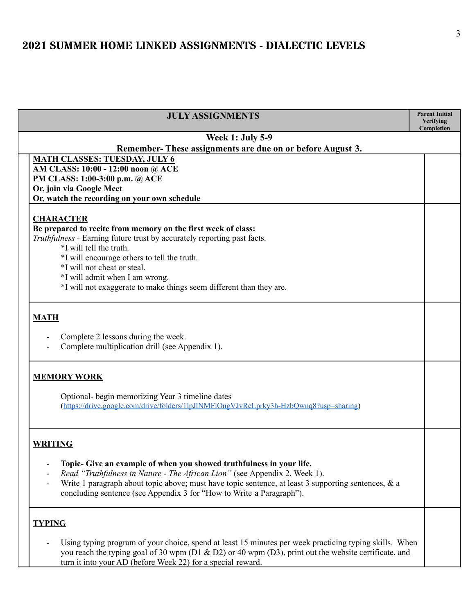| <b>JULY ASSIGNMENTS</b>                                                                                | <b>Parent Initial</b><br>Verifying |
|--------------------------------------------------------------------------------------------------------|------------------------------------|
| <b>Week 1: July 5-9</b>                                                                                | Completion                         |
| Remember-These assignments are due on or before August 3.                                              |                                    |
| <b>MATH CLASSES: TUESDAY, JULY 6</b>                                                                   |                                    |
| AM CLASS: 10:00 - 12:00 noon @ ACE                                                                     |                                    |
| PM CLASS: 1:00-3:00 p.m. @ ACE                                                                         |                                    |
| Or, join via Google Meet                                                                               |                                    |
| Or, watch the recording on your own schedule                                                           |                                    |
| <b>CHARACTER</b>                                                                                       |                                    |
| Be prepared to recite from memory on the first week of class:                                          |                                    |
| Truthfulness - Earning future trust by accurately reporting past facts.                                |                                    |
| *I will tell the truth.                                                                                |                                    |
| *I will encourage others to tell the truth.                                                            |                                    |
| *I will not cheat or steal.                                                                            |                                    |
| *I will admit when I am wrong.                                                                         |                                    |
| *I will not exaggerate to make things seem different than they are.                                    |                                    |
| <b>MATH</b>                                                                                            |                                    |
|                                                                                                        |                                    |
| Complete 2 lessons during the week.                                                                    |                                    |
| Complete multiplication drill (see Appendix 1).                                                        |                                    |
| <b>MEMORY WORK</b>                                                                                     |                                    |
|                                                                                                        |                                    |
| Optional- begin memorizing Year 3 timeline dates                                                       |                                    |
| (https://drive.google.com/drive/folders/1lpJlNMFiOugVJvReLprky3h-HzbOwnq8?usp=sharing)                 |                                    |
|                                                                                                        |                                    |
| <b>WRITING</b>                                                                                         |                                    |
|                                                                                                        |                                    |
| Topic- Give an example of when you showed truthfulness in your life.                                   |                                    |
| Read "Truthfulness in Nature - The African Lion" (see Appendix 2, Week 1).                             |                                    |
| Write 1 paragraph about topic above; must have topic sentence, at least 3 supporting sentences, & a    |                                    |
| concluding sentence (see Appendix 3 for "How to Write a Paragraph").                                   |                                    |
|                                                                                                        |                                    |
| <b>TYPING</b>                                                                                          |                                    |
| Using typing program of your choice, spend at least 15 minutes per week practicing typing skills. When |                                    |
| you reach the typing goal of 30 wpm (D1 & D2) or 40 wpm (D3), print out the website certificate, and   |                                    |
| turn it into your AD (before Week 22) for a special reward.                                            |                                    |
|                                                                                                        |                                    |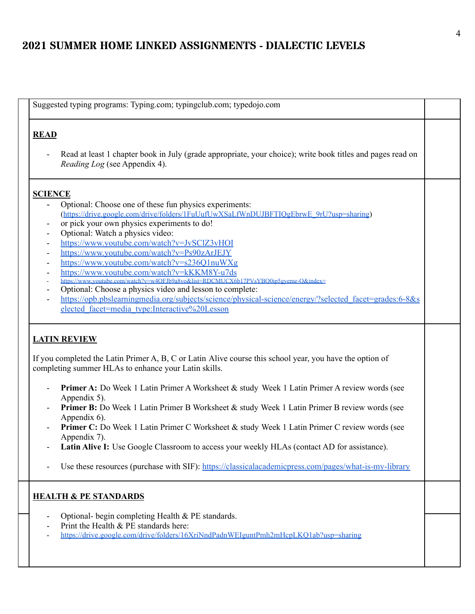| Suggested typing programs: Typing.com; typingclub.com; typedojo.com                                                                                                                                                                                                                                                                                                                                                                                                                                                                                                                                                                                                                                                                                                                |  |
|------------------------------------------------------------------------------------------------------------------------------------------------------------------------------------------------------------------------------------------------------------------------------------------------------------------------------------------------------------------------------------------------------------------------------------------------------------------------------------------------------------------------------------------------------------------------------------------------------------------------------------------------------------------------------------------------------------------------------------------------------------------------------------|--|
| <b>READ</b><br>Read at least 1 chapter book in July (grade appropriate, your choice); write book titles and pages read on<br><i>Reading Log</i> (see Appendix 4).                                                                                                                                                                                                                                                                                                                                                                                                                                                                                                                                                                                                                  |  |
| <b>SCIENCE</b><br>Optional: Choose one of these fun physics experiments:<br>$\blacksquare$<br>(https://drive.google.com/drive/folders/1FuUufUwXSaLfWnDUJBFTIQgEbrwE_9rU?usp=sharing)<br>or pick your own physics experiments to do!<br>Optional: Watch a physics video:<br>https://www.youtube.com/watch?v=JvSClZ3vHOI<br>https://www.youtube.com/watch?v=Ps90zArJEJY<br>https://www.youtube.com/watch?v=s236Q1nuWXg<br>https://www.youtube.com/watch?v=kKKM8Y-u7ds<br>https://www.youtube.com/watch?v=w4QFJb9a8vo&list=RDCMUCX6b17PVsYBO0ip5gyeme-O&index=<br>Optional: Choose a physics video and lesson to complete:<br>https://opb.pbslearningmedia.org/subjects/science/physical-science/energy/?selected_facet=grades:6-8&s<br>elected facet=media type:Interactive%20Lesson |  |
| <b>LATIN REVIEW</b><br>If you completed the Latin Primer A, B, C or Latin Alive course this school year, you have the option of<br>completing summer HLAs to enhance your Latin skills.<br><b>Primer A:</b> Do Week 1 Latin Primer A Worksheet & study Week 1 Latin Primer A review words (see<br>Appendix 5).<br>Primer B: Do Week 1 Latin Primer B Worksheet & study Week 1 Latin Primer B review words (see<br>Appendix 6).<br>Primer C: Do Week 1 Latin Primer C Worksheet & study Week 1 Latin Primer C review words (see<br>Appendix 7).<br>Latin Alive I: Use Google Classroom to access your weekly HLAs (contact AD for assistance).<br>Use these resources (purchase with SIF): https://classicalacademicpress.com/pages/what-is-my-library                              |  |
| <b>HEALTH &amp; PE STANDARDS</b><br>Optional- begin completing Health & PE standards.<br>Print the Health & PE standards here:<br>https://drive.google.com/drive/folders/16XriNndPadnWEIguntPmh2mHcpLKO1ab?usp=sharing                                                                                                                                                                                                                                                                                                                                                                                                                                                                                                                                                             |  |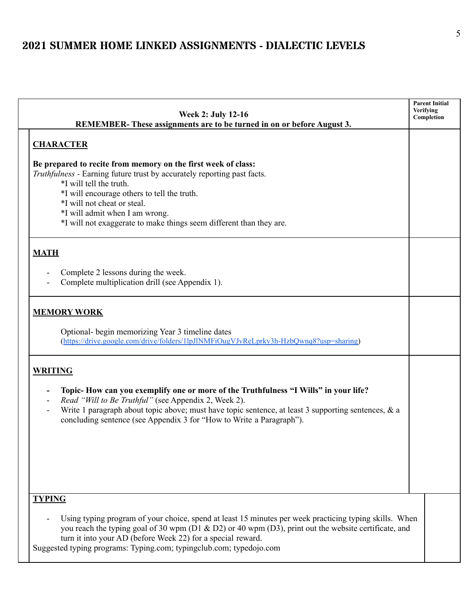| <b>Week 2: July 12-16</b><br>REMEMBER-These assignments are to be turned in on or before August 3.                                                                                                                                                                                                                                                         | <b>Parent Initial</b><br>Verifying<br>Completion |  |
|------------------------------------------------------------------------------------------------------------------------------------------------------------------------------------------------------------------------------------------------------------------------------------------------------------------------------------------------------------|--------------------------------------------------|--|
| <b>CHARACTER</b>                                                                                                                                                                                                                                                                                                                                           |                                                  |  |
| Be prepared to recite from memory on the first week of class:<br>Truthfulness - Earning future trust by accurately reporting past facts.<br>*I will tell the truth.<br>*I will encourage others to tell the truth.<br>*I will not cheat or steal.<br>*I will admit when I am wrong.<br>*I will not exaggerate to make things seem different than they are. |                                                  |  |
| <b>MATH</b>                                                                                                                                                                                                                                                                                                                                                |                                                  |  |
| Complete 2 lessons during the week.<br>Complete multiplication drill (see Appendix 1).                                                                                                                                                                                                                                                                     |                                                  |  |
| <b>MEMORY WORK</b>                                                                                                                                                                                                                                                                                                                                         |                                                  |  |
| Optional- begin memorizing Year 3 timeline dates<br>(https://drive.google.com/drive/folders/1lpJlNMFiOugVJvReLprky3h-HzbQwnq8?usp=sharing)                                                                                                                                                                                                                 |                                                  |  |
| <b>WRITING</b>                                                                                                                                                                                                                                                                                                                                             |                                                  |  |
| Topic- How can you exemplify one or more of the Truthfulness "I Wills" in your life?<br>Read "Will to Be Truthful" (see Appendix 2, Week 2).<br>Write 1 paragraph about topic above; must have topic sentence, at least 3 supporting sentences, $\&$ a<br>concluding sentence (see Appendix 3 for "How to Write a Paragraph").                             |                                                  |  |
| <b>TYPING</b>                                                                                                                                                                                                                                                                                                                                              |                                                  |  |
| Using typing program of your choice, spend at least 15 minutes per week practicing typing skills. When<br>you reach the typing goal of 30 wpm (D1 & D2) or 40 wpm (D3), print out the website certificate, and<br>turn it into your AD (before Week 22) for a special reward.<br>Suggested typing programs: Typing.com; typingclub.com; typedojo.com       |                                                  |  |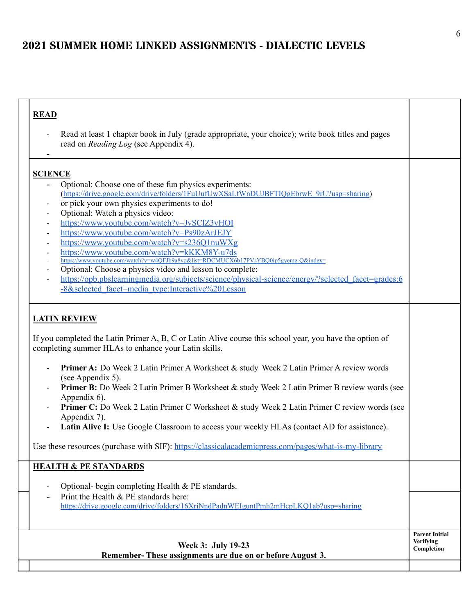| <b>READ</b>                                                                                                                                                                                                                                                                                                                                                                                                                                                                                                                                                                                                                                                                                                                                                                                             |                                                  |
|---------------------------------------------------------------------------------------------------------------------------------------------------------------------------------------------------------------------------------------------------------------------------------------------------------------------------------------------------------------------------------------------------------------------------------------------------------------------------------------------------------------------------------------------------------------------------------------------------------------------------------------------------------------------------------------------------------------------------------------------------------------------------------------------------------|--------------------------------------------------|
| Read at least 1 chapter book in July (grade appropriate, your choice); write book titles and pages<br>read on <i>Reading Log</i> (see Appendix 4).                                                                                                                                                                                                                                                                                                                                                                                                                                                                                                                                                                                                                                                      |                                                  |
| <b>SCIENCE</b><br>Optional: Choose one of these fun physics experiments:<br>$\overline{\phantom{0}}$<br>(https://drive.google.com/drive/folders/1FuUufUwXSaLfWnDUJBFTIQgEbrwE 9rU?usp=sharing)<br>or pick your own physics experiments to do!<br>Optional: Watch a physics video:<br>https://www.youtube.com/watch?v=JvSClZ3vHOI<br>https://www.youtube.com/watch?v=Ps90zArJEJY<br>https://www.youtube.com/watch?v=s236Q1nuWXg<br>https://www.youtube.com/watch?v=kKKM8Y-u7ds<br>https://www.voutube.com/watch?v=w4OFJb9a8vo&list=RDCMUCX6b17PVsYBQ0ip5gyeme-Q&index=<br>Optional: Choose a physics video and lesson to complete:<br>https://opb.pbslearningmedia.org/subjects/science/physical-science/energy/?selected facet=grades:6<br>-8&selected facet=media type:Interactive%20Lesson            |                                                  |
| <b>LATIN REVIEW</b><br>If you completed the Latin Primer A, B, C or Latin Alive course this school year, you have the option of<br>completing summer HLAs to enhance your Latin skills.<br><b>Primer A:</b> Do Week 2 Latin Primer A Worksheet & study Week 2 Latin Primer A review words<br>(see Appendix 5).<br><b>Primer B:</b> Do Week 2 Latin Primer B Worksheet & study Week 2 Latin Primer B review words (see<br>Appendix 6).<br><b>Primer C:</b> Do Week 2 Latin Primer C Worksheet & study Week 2 Latin Primer C review words (see<br>Appendix 7).<br>Latin Alive I: Use Google Classroom to access your weekly HLAs (contact AD for assistance).<br>Use these resources (purchase with SIF): https://classicalacademicpress.com/pages/what-is-my-library<br><b>HEALTH &amp; PE STANDARDS</b> |                                                  |
| Optional- begin completing Health & PE standards.<br>Print the Health & PE standards here:<br>https://drive.google.com/drive/folders/16XriNndPadnWEIguntPmh2mHcpLKQ1ab?usp=sharing                                                                                                                                                                                                                                                                                                                                                                                                                                                                                                                                                                                                                      |                                                  |
| Week 3: July 19-23<br>Remember-These assignments are due on or before August 3.                                                                                                                                                                                                                                                                                                                                                                                                                                                                                                                                                                                                                                                                                                                         | <b>Parent Initial</b><br>Verifying<br>Completion |
|                                                                                                                                                                                                                                                                                                                                                                                                                                                                                                                                                                                                                                                                                                                                                                                                         |                                                  |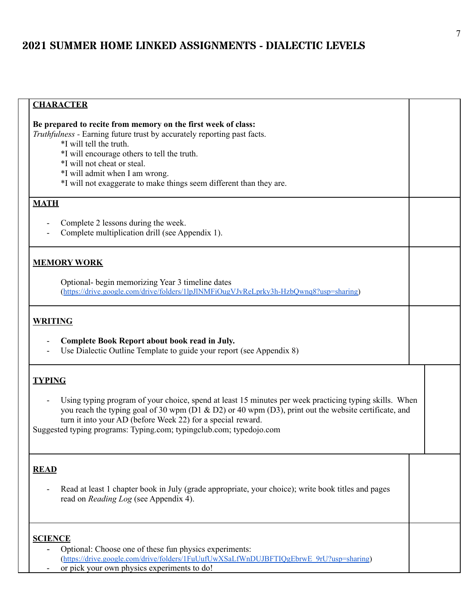| <b>CHARACTER</b>                                                                                             |  |
|--------------------------------------------------------------------------------------------------------------|--|
|                                                                                                              |  |
| Be prepared to recite from memory on the first week of class:                                                |  |
| Truthfulness - Earning future trust by accurately reporting past facts.                                      |  |
| *I will tell the truth.                                                                                      |  |
| *I will encourage others to tell the truth.                                                                  |  |
| *I will not cheat or steal.                                                                                  |  |
| *I will admit when I am wrong.                                                                               |  |
| *I will not exaggerate to make things seem different than they are.                                          |  |
|                                                                                                              |  |
| <b>MATH</b>                                                                                                  |  |
| Complete 2 lessons during the week.                                                                          |  |
| Complete multiplication drill (see Appendix 1).                                                              |  |
|                                                                                                              |  |
|                                                                                                              |  |
| <b>MEMORY WORK</b>                                                                                           |  |
|                                                                                                              |  |
| Optional- begin memorizing Year 3 timeline dates                                                             |  |
| (https://drive.google.com/drive/folders/1lpJlNMFiOugVJvReLprky3h-HzbQwnq8?usp=sharing)                       |  |
|                                                                                                              |  |
| <b>WRITING</b>                                                                                               |  |
|                                                                                                              |  |
| Complete Book Report about book read in July.                                                                |  |
| Use Dialectic Outline Template to guide your report (see Appendix 8)                                         |  |
|                                                                                                              |  |
| <b>TYPING</b>                                                                                                |  |
|                                                                                                              |  |
| Using typing program of your choice, spend at least 15 minutes per week practicing typing skills. When       |  |
| you reach the typing goal of 30 wpm ( $D1 & D2$ ) or 40 wpm ( $D3$ ), print out the website certificate, and |  |
| turn it into your AD (before Week 22) for a special reward.                                                  |  |
| Suggested typing programs: Typing.com; typingclub.com; typedojo.com                                          |  |
|                                                                                                              |  |
|                                                                                                              |  |
|                                                                                                              |  |
| <b>READ</b>                                                                                                  |  |
|                                                                                                              |  |
| Read at least 1 chapter book in July (grade appropriate, your choice); write book titles and pages           |  |
| read on <i>Reading Log</i> (see Appendix 4).                                                                 |  |
|                                                                                                              |  |
|                                                                                                              |  |
|                                                                                                              |  |
| <b>SCIENCE</b>                                                                                               |  |
| Optional: Choose one of these fun physics experiments:                                                       |  |
| (https://drive.google.com/drive/folders/1FuUufUwXSaLfWnDUJBFTIQgEbrwE 9rU?usp=sharing)                       |  |
| or pick your own physics experiments to do!                                                                  |  |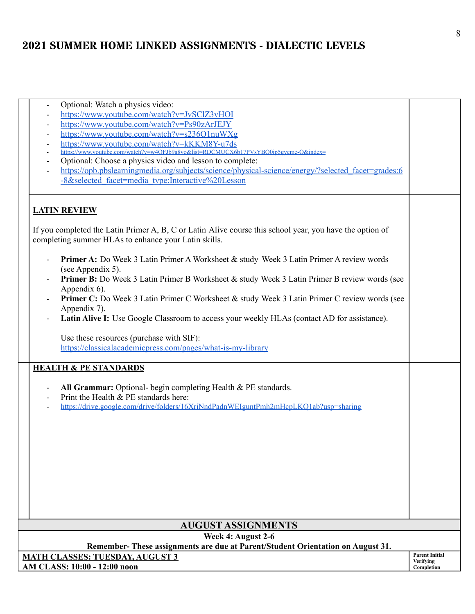| Optional: Watch a physics video:<br>$\overline{\phantom{a}}$                                                                                                     |                       |  |
|------------------------------------------------------------------------------------------------------------------------------------------------------------------|-----------------------|--|
| https://www.youtube.com/watch?v=JvSClZ3vHOI<br>https://www.youtube.com/watch?v=Ps90zArJEJY                                                                       |                       |  |
| https://www.youtube.com/watch?v=s236O1nuWXg                                                                                                                      |                       |  |
| https://www.youtube.com/watch?v=kKKM8Y-u7ds                                                                                                                      |                       |  |
| https://www.youtube.com/watch?v=w4OFJb9a8yo&list=RDCMUCX6b17PVsYBQ0ip5gveme-O&index=                                                                             |                       |  |
| Optional: Choose a physics video and lesson to complete:                                                                                                         |                       |  |
| https://opb.pbslearningmedia.org/subjects/science/physical-science/energy/?selected facet=grades:6                                                               |                       |  |
| -8&selected facet=media type:Interactive%20Lesson                                                                                                                |                       |  |
|                                                                                                                                                                  |                       |  |
| <b>LATIN REVIEW</b>                                                                                                                                              |                       |  |
| If you completed the Latin Primer A, B, C or Latin Alive course this school year, you have the option of<br>completing summer HLAs to enhance your Latin skills. |                       |  |
| Primer A: Do Week 3 Latin Primer A Worksheet & study Week 3 Latin Primer A review words<br>(see Appendix 5).                                                     |                       |  |
| <b>Primer B:</b> Do Week 3 Latin Primer B Worksheet & study Week 3 Latin Primer B review words (see                                                              |                       |  |
| Appendix 6).<br>Primer C: Do Week 3 Latin Primer C Worksheet & study Week 3 Latin Primer C review words (see                                                     |                       |  |
| Appendix 7).                                                                                                                                                     |                       |  |
| Latin Alive I: Use Google Classroom to access your weekly HLAs (contact AD for assistance).                                                                      |                       |  |
| Use these resources (purchase with SIF):<br>https://classicalacademicpress.com/pages/what-is-my-library                                                          |                       |  |
| <b>HEALTH &amp; PE STANDARDS</b>                                                                                                                                 |                       |  |
|                                                                                                                                                                  |                       |  |
| All Grammar: Optional- begin completing Health & PE standards.<br>Print the Health & PE standards here:                                                          |                       |  |
| https://drive.google.com/drive/folders/16XriNndPadnWEIguntPmh2mHcpLKO1ab?usp=sharing                                                                             |                       |  |
|                                                                                                                                                                  |                       |  |
|                                                                                                                                                                  |                       |  |
|                                                                                                                                                                  |                       |  |
|                                                                                                                                                                  |                       |  |
|                                                                                                                                                                  |                       |  |
|                                                                                                                                                                  |                       |  |
|                                                                                                                                                                  |                       |  |
|                                                                                                                                                                  |                       |  |
|                                                                                                                                                                  |                       |  |
|                                                                                                                                                                  |                       |  |
| <b>AUGUST ASSIGNMENTS</b>                                                                                                                                        |                       |  |
| Week 4: August 2-6                                                                                                                                               |                       |  |
| Remember-These assignments are due at Parent/Student Orientation on August 31.                                                                                   | <b>Parent Initial</b> |  |
| MATH CLASSES: TUESDAY, AUGUST 3<br>AM CLASS: 10:00 - 12:00 noon                                                                                                  | Verifying             |  |
|                                                                                                                                                                  | Completion            |  |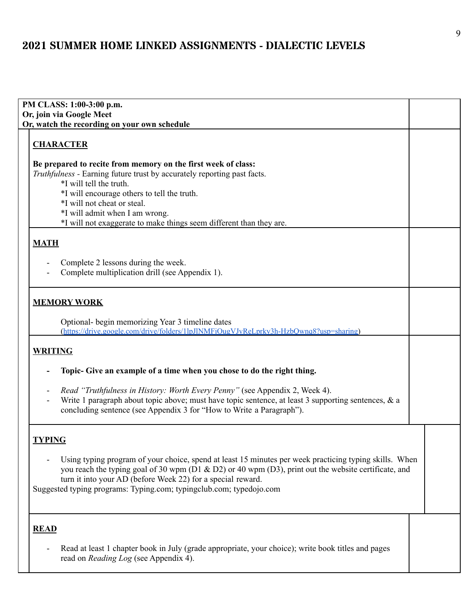| PM CLASS: 1:00-3:00 p.m.                                                                                                                                                                                                                                                                                                                                      |  |
|---------------------------------------------------------------------------------------------------------------------------------------------------------------------------------------------------------------------------------------------------------------------------------------------------------------------------------------------------------------|--|
| Or, join via Google Meet<br>Or, watch the recording on your own schedule                                                                                                                                                                                                                                                                                      |  |
| <b>CHARACTER</b>                                                                                                                                                                                                                                                                                                                                              |  |
| Be prepared to recite from memory on the first week of class:<br>Truthfulness - Earning future trust by accurately reporting past facts.<br>*I will tell the truth.<br>*I will encourage others to tell the truth.<br>*I will not cheat or steal.<br>*I will admit when I am wrong.<br>*I will not exaggerate to make things seem different than they are.    |  |
| <b>MATH</b>                                                                                                                                                                                                                                                                                                                                                   |  |
| Complete 2 lessons during the week.<br>Complete multiplication drill (see Appendix 1).                                                                                                                                                                                                                                                                        |  |
| <b>MEMORY WORK</b>                                                                                                                                                                                                                                                                                                                                            |  |
| Optional- begin memorizing Year 3 timeline dates<br>(https://drive.google.com/drive/folders/1lpJlNMFiOugVJvReLprkv3h-HzbOwnq8?usp=sharing)                                                                                                                                                                                                                    |  |
| <b>WRITING</b>                                                                                                                                                                                                                                                                                                                                                |  |
| Topic- Give an example of a time when you chose to do the right thing.                                                                                                                                                                                                                                                                                        |  |
| Read "Truthfulness in History: Worth Every Penny" (see Appendix 2, Week 4).<br>Write 1 paragraph about topic above; must have topic sentence, at least 3 supporting sentences, $\&$ a<br>concluding sentence (see Appendix 3 for "How to Write a Paragraph").                                                                                                 |  |
| <b>TYPING</b>                                                                                                                                                                                                                                                                                                                                                 |  |
| Using typing program of your choice, spend at least 15 minutes per week practicing typing skills. When<br>you reach the typing goal of 30 wpm ( $D1 \& D2$ ) or 40 wpm ( $D3$ ), print out the website certificate, and<br>turn it into your AD (before Week 22) for a special reward.<br>Suggested typing programs: Typing.com; typingclub.com; typedojo.com |  |
| <b>READ</b>                                                                                                                                                                                                                                                                                                                                                   |  |
| Read at least 1 chapter book in July (grade appropriate, your choice); write book titles and pages<br>read on <i>Reading Log</i> (see Appendix 4).                                                                                                                                                                                                            |  |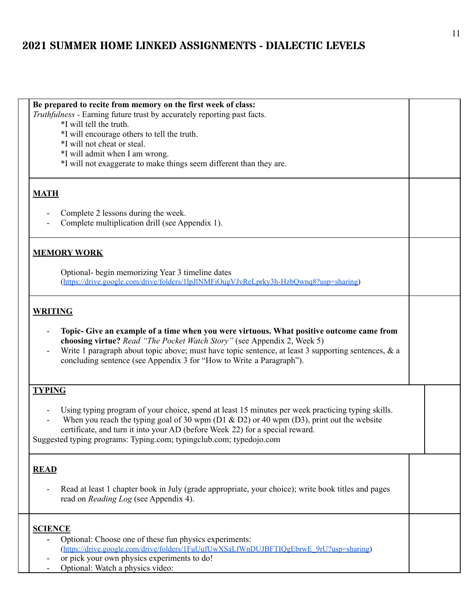| Be prepared to recite from memory on the first week of class:                                          |  |
|--------------------------------------------------------------------------------------------------------|--|
| Truthfulness - Earning future trust by accurately reporting past facts.                                |  |
| *I will tell the truth.                                                                                |  |
| *I will encourage others to tell the truth.                                                            |  |
| *I will not cheat or steal.                                                                            |  |
|                                                                                                        |  |
| *I will admit when I am wrong.                                                                         |  |
| *I will not exaggerate to make things seem different than they are.                                    |  |
|                                                                                                        |  |
| <b>MATH</b>                                                                                            |  |
|                                                                                                        |  |
| Complete 2 lessons during the week.                                                                    |  |
| Complete multiplication drill (see Appendix 1).                                                        |  |
|                                                                                                        |  |
| <b>MEMORY WORK</b>                                                                                     |  |
|                                                                                                        |  |
| Optional- begin memorizing Year 3 timeline dates                                                       |  |
| (https://drive.google.com/drive/folders/1lpJlNMFiOugVJvReLprky3h-HzbOwnq8?usp=sharing)                 |  |
|                                                                                                        |  |
|                                                                                                        |  |
| <b>WRITING</b>                                                                                         |  |
|                                                                                                        |  |
| Topic- Give an example of a time when you were virtuous. What positive outcome came from               |  |
| choosing virtue? Read "The Pocket Watch Story" (see Appendix 2, Week 5)                                |  |
| Write 1 paragraph about topic above; must have topic sentence, at least 3 supporting sentences, $\&$ a |  |
| concluding sentence (see Appendix 3 for "How to Write a Paragraph").                                   |  |
|                                                                                                        |  |
|                                                                                                        |  |
| <b>TYPING</b>                                                                                          |  |
|                                                                                                        |  |
|                                                                                                        |  |
| Using typing program of your choice, spend at least 15 minutes per week practicing typing skills.      |  |
| When you reach the typing goal of 30 wpm ( $D1 & D2$ ) or 40 wpm ( $D3$ ), print out the website       |  |
| certificate, and turn it into your AD (before Week 22) for a special reward.                           |  |
| Suggested typing programs: Typing.com; typingclub.com; typedojo.com                                    |  |
|                                                                                                        |  |
|                                                                                                        |  |
| <b>READ</b>                                                                                            |  |
|                                                                                                        |  |
|                                                                                                        |  |
| Read at least 1 chapter book in July (grade appropriate, your choice); write book titles and pages     |  |
| read on <i>Reading Log</i> (see Appendix 4).                                                           |  |
|                                                                                                        |  |
|                                                                                                        |  |
| <b>SCIENCE</b>                                                                                         |  |
| Optional: Choose one of these fun physics experiments:                                                 |  |
| (https://drive.google.com/drive/folders/1FuUufUwXSaLfWnDUJBFTIQgEbrwE 9rU?usp=sharing)                 |  |
| or pick your own physics experiments to do!                                                            |  |
|                                                                                                        |  |
| Optional: Watch a physics video:                                                                       |  |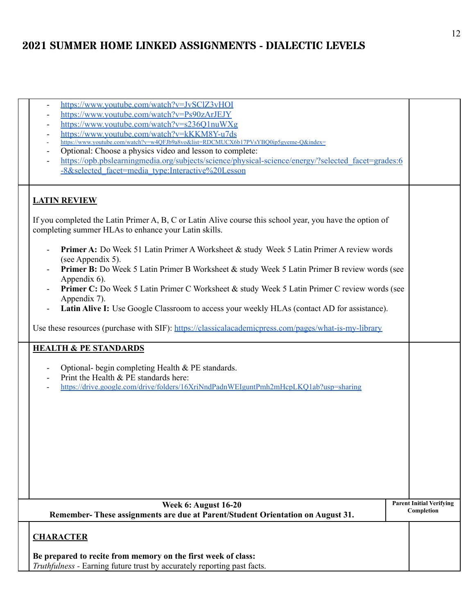|  | https://www.youtube.com/watch?v=JvSClZ3vHOI |  |
|--|---------------------------------------------|--|
|  |                                             |  |

- <https://www.youtube.com/watch?v=Ps90zArJEJY>
- <https://www.youtube.com/watch?v=s236Q1nuWXg>
- <https://www.youtube.com/watch?v=kKKM8Y-u7ds>
- [https://www.youtube.com/watch?v=w4QFJb9a8vo&list=RDCMUCX6b17PVsYBQ0ip5gyeme-Q&index=](https://www.youtube.com/watch?v=w4QFJb9a8vo&list=RDCMUCX6b17PVsYBQ0ip5gyeme-Q&index=3)
- Optional: Choose a physics video and lesson to complete:
- [https://opb.pbslearningmedia.org/subjects/science/physical-science/energy/?selected\\_facet=grades:6](https://opb.pbslearningmedia.org/subjects/science/physical-science/energy/?selected_facet=grades:6-8&selected_facet=media_type:Interactive%20Lesson) -8&selected facet=media type:Interactive%20Lesson

#### **LATIN REVIEW**

If you completed the Latin Primer A, B, C or Latin Alive course this school year, you have the option of completing summer HLAs to enhance your Latin skills.

- **Primer A:** Do Week 51 Latin Primer A Worksheet & study Week 5 Latin Primer A review words (see Appendix 5).
- **Primer B:** Do Week 5 Latin Primer B Worksheet & study Week 5 Latin Primer B review words (see Appendix 6).
- **Primer C:** Do Week 5 Latin Primer C Worksheet & study Week 5 Latin Primer C review words (see Appendix 7).
- **Latin Alive I:** Use Google Classroom to access your weekly HLAs (contact AD for assistance).

Use these resources (purchase with SIF): <https://classicalacademicpress.com/pages/what-is-my-library>

#### **HEALTH & PE STANDARDS**

- Optional- begin completing Health & PE standards.
- Print the Health  $\&$  PE standards here:
- <https://drive.google.com/drive/folders/16XriNndPadnWEIguntPmh2mHcpLKQ1ab?usp=sharing>

| <b>Week 6: August 16-20</b><br>Remember-These assignments are due at Parent/Student Orientation on August 31. | <b>Parent Initial Verifying</b><br>Completion |
|---------------------------------------------------------------------------------------------------------------|-----------------------------------------------|
|                                                                                                               |                                               |

# **CHARACTER**

**Be prepared to recite from memory on the first week of class:** *Truthfulness -* Earning future trust by accurately reporting past facts.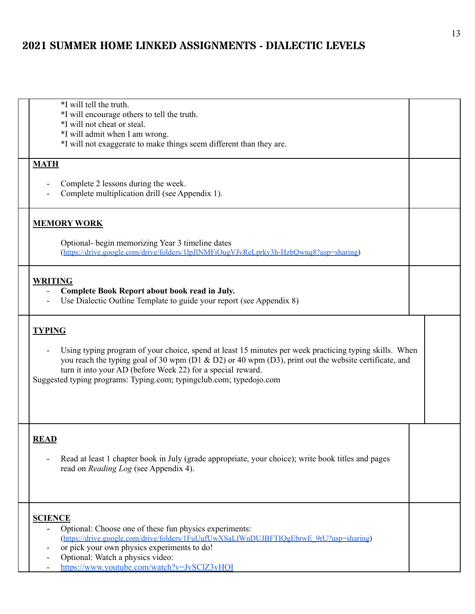| *I will tell the truth.<br>*I will encourage others to tell the truth.<br>*I will not cheat or steal.<br>*I will admit when I am wrong.<br>*I will not exaggerate to make things seem different than they are.                                                                                                                                                        |  |  |
|-----------------------------------------------------------------------------------------------------------------------------------------------------------------------------------------------------------------------------------------------------------------------------------------------------------------------------------------------------------------------|--|--|
| <b>MATH</b><br>Complete 2 lessons during the week.<br>Complete multiplication drill (see Appendix 1).                                                                                                                                                                                                                                                                 |  |  |
| <b>MEMORY WORK</b><br>Optional- begin memorizing Year 3 timeline dates<br>(https://drive.google.com/drive/folders/1lpJlNMFiOugVJvReLprkv3h-HzbOwnq8?usp=sharing)                                                                                                                                                                                                      |  |  |
| <b>WRITING</b><br>Complete Book Report about book read in July.<br>Use Dialectic Outline Template to guide your report (see Appendix 8)                                                                                                                                                                                                                               |  |  |
| <b>TYPING</b><br>Using typing program of your choice, spend at least 15 minutes per week practicing typing skills. When<br>you reach the typing goal of 30 wpm (D1 & D2) or 40 wpm (D3), print out the website certificate, and<br>turn it into your AD (before Week 22) for a special reward.<br>Suggested typing programs: Typing.com; typingclub.com; typedojo.com |  |  |
| <b>READ</b><br>Read at least 1 chapter book in July (grade appropriate, your choice); write book titles and pages<br>read on <i>Reading Log</i> (see Appendix 4).                                                                                                                                                                                                     |  |  |
| <b>SCIENCE</b><br>Optional: Choose one of these fun physics experiments:<br>$\overline{\phantom{0}}$<br>(https://drive.google.com/drive/folders/1FuUufUwXSaLfWnDUJBFTIQgEbrwE_9rU?usp=sharing)<br>or pick your own physics experiments to do!<br>$\overline{\phantom{a}}$<br>Optional: Watch a physics video:<br>https://www.youtube.com/watch?v=JvSClZ3vHOI          |  |  |